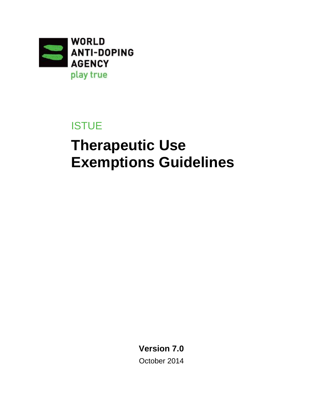

# **ISTUE**

# **Therapeutic Use Exemptions Guidelines**

**Version 7.0**

October 2014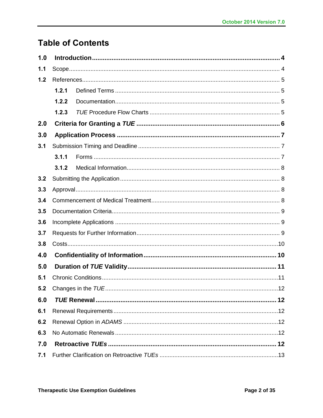# **Table of Contents**

| 1.0 |       |  |  |  |  |
|-----|-------|--|--|--|--|
| 1.1 |       |  |  |  |  |
| 1.2 |       |  |  |  |  |
|     | 1.2.1 |  |  |  |  |
|     | 1.2.2 |  |  |  |  |
|     | 1.2.3 |  |  |  |  |
| 2.0 |       |  |  |  |  |
| 3.0 |       |  |  |  |  |
| 3.1 |       |  |  |  |  |
|     | 3.1.1 |  |  |  |  |
|     | 3.1.2 |  |  |  |  |
| 3.2 |       |  |  |  |  |
| 3.3 |       |  |  |  |  |
| 3.4 |       |  |  |  |  |
| 3.5 |       |  |  |  |  |
| 3.6 |       |  |  |  |  |
| 3.7 |       |  |  |  |  |
| 3.8 |       |  |  |  |  |
| 4.0 |       |  |  |  |  |
| 5.0 |       |  |  |  |  |
| 5.1 |       |  |  |  |  |
| 5.2 |       |  |  |  |  |
| 6.0 |       |  |  |  |  |
| 6.1 |       |  |  |  |  |
| 6.2 |       |  |  |  |  |
| 6.3 |       |  |  |  |  |
| 7.0 |       |  |  |  |  |
| 7.1 |       |  |  |  |  |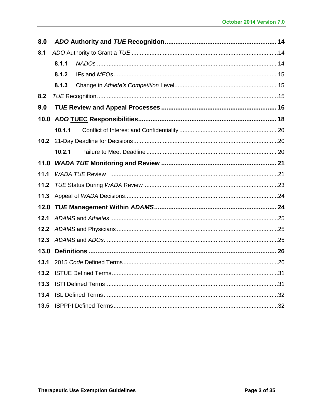| 8.0  |        |  |  |  |
|------|--------|--|--|--|
| 8.1  |        |  |  |  |
|      | 8.1.1  |  |  |  |
|      | 8.1.2  |  |  |  |
|      | 8.1.3  |  |  |  |
| 8.2  |        |  |  |  |
| 9.0  |        |  |  |  |
| 10.0 |        |  |  |  |
|      | 10.1.1 |  |  |  |
| 10.2 |        |  |  |  |
|      | 10.2.1 |  |  |  |
| 11.0 |        |  |  |  |
| 11.1 |        |  |  |  |
| 11.2 |        |  |  |  |
| 11.3 |        |  |  |  |
| 12.0 |        |  |  |  |
| 12.1 |        |  |  |  |
| 12.2 |        |  |  |  |
| 12.3 |        |  |  |  |
| 13.0 |        |  |  |  |
| 13.1 |        |  |  |  |
| 13.2 |        |  |  |  |
| 13.3 |        |  |  |  |
| 13.4 |        |  |  |  |
| 13.5 |        |  |  |  |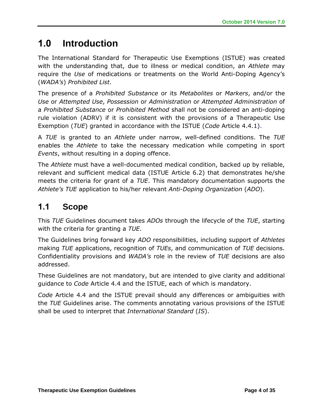# **1.0 Introduction**

The International Standard for Therapeutic Use Exemptions (ISTUE) was created with the understanding that, due to illness or medical condition, an *Athlete* may require the *Use* of medications or treatments on the World Anti-Doping Agency's (*WADA's*) *Prohibited List*.

The presence of a *Prohibited Substance* or its *Metabolites* or *Markers*, and/or the *Use* or *Attempted Use*, *Possession* or *Administration* or *Attempted Administration* of a *Prohibited Substance* or *Prohibited Method* shall not be considered an anti-doping rule violation (ADRV) if it is consistent with the provisions of a Therapeutic Use Exemption (*TUE*) granted in accordance with the ISTUE (*Code* Article 4.4.1).

A *TUE* is granted to an *Athlete* under narrow, well-defined conditions. The *TUE* enables the *Athlete* to take the necessary medication while competing in sport *Events*, without resulting in a doping offence.

The *Athlete* must have a well-documented medical condition, backed up by reliable, relevant and sufficient medical data (ISTUE Article 6.2) that demonstrates he/she meets the criteria for grant of a *TUE*. This mandatory documentation supports the *Athlete's TUE* application to his/her relevant *Anti-Doping Organization* (*ADO*).

# **1.1 Scope**

This *TUE* Guidelines document takes *ADOs* through the lifecycle of the *TUE*, starting with the criteria for granting a *TUE*.

The Guidelines bring forward key *ADO* responsibilities, including support of *Athletes* making *TUE* applications, recognition of *TUEs*, and communication of *TUE* decisions. Confidentiality provisions and *WADA's* role in the review of *TUE* decisions are also addressed.

These Guidelines are not mandatory, but are intended to give clarity and additional guidance to *Code* Article 4.4 and the ISTUE, each of which is mandatory.

*Code* Article 4.4 and the ISTUE prevail should any differences or ambiguities with the *TUE* Guidelines arise. The comments annotating various provisions of the ISTUE shall be used to interpret that *International Standard* (*IS*).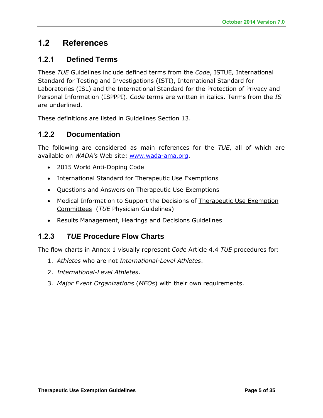## **1.2 References**

#### **1.2.1 Defined Terms**

These *TUE* Guidelines include defined terms from the *Code*, ISTUE*,* International Standard for Testing and Investigations (ISTI), International Standard for Laboratories (ISL) and the International Standard for the Protection of Privacy and Personal Information (ISPPPI). *Code* terms are written in italics. Terms from the *IS* are underlined.

These definitions are listed in Guidelines Section 13.

#### **1.2.2 Documentation**

The following are considered as main references for the *TUE*, all of which are available on *WADA's* Web site: www.wada-ama.org.

- 2015 World Anti-Doping Code
- International Standard for Therapeutic Use Exemptions
- Questions and Answers on Therapeutic Use Exemptions
- Medical Information to Support the Decisions of Therapeutic Use Exemption Committees (*TUE* Physician Guidelines)
- Results Management, Hearings and Decisions Guidelines

#### **1.2.3** *TUE* **Procedure Flow Charts**

The flow charts in Annex 1 visually represent *Code* Article 4.4 *TUE* procedures for:

- 1. *Athletes* who are not *International-Level Athletes*.
- 2. *International-Level Athletes*.
- 3. *Major Event Organizations* (*MEOs*) with their own requirements.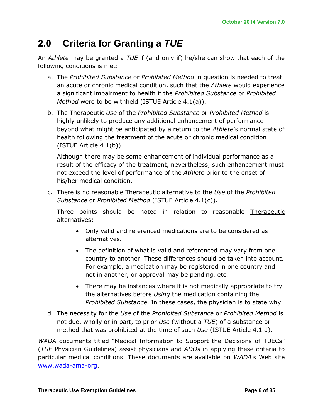# **2.0 Criteria for Granting a** *TUE*

An *Athlete* may be granted a *TUE* if (and only if) he/she can show that each of the following conditions is met:

- a. The *Prohibited Substance* or *Prohibited Method* in question is needed to treat an acute or chronic medical condition, such that the *Athlete* would experience a significant impairment to health if the *Prohibited Substance* or *Prohibited Method* were to be withheld (ISTUE Article 4.1(a)).
- b. The Therapeutic *Use* of the *Prohibited Substance* or *Prohibited Method* is highly unlikely to produce any additional enhancement of performance beyond what might be anticipated by a return to the *Athlete's* normal state of health following the treatment of the acute or chronic medical condition (ISTUE Article 4.1(b)).

Although there may be some enhancement of individual performance as a result of the efficacy of the treatment, nevertheless, such enhancement must not exceed the level of performance of the *Athlete* prior to the onset of his/her medical condition.

c. There is no reasonable Therapeutic alternative to the *Use* of the *Prohibited Substance* or *Prohibited Method* (ISTUE Article 4.1(c)).

Three points should be noted in relation to reasonable Therapeutic alternatives:

- Only valid and referenced medications are to be considered as alternatives.
- The definition of what is valid and referenced may vary from one country to another. These differences should be taken into account. For example, a medication may be registered in one country and not in another, or approval may be pending, etc.
- There may be instances where it is not medically appropriate to try the alternatives before *Using* the medication containing the *Prohibited Substance*. In these cases, the physician is to state why.
- d. The necessity for the *Use* of the *Prohibited Substance* or *Prohibited Method* is not due, wholly or in part, to prior *Use* (without a *TUE*) of a substance or method that was prohibited at the time of such *Use* (ISTUE Article 4.1 d).

*WADA* documents titled "Medical Information to Support the Decisions of TUECs" (*TUE* Physician Guidelines) assist physicians and *ADOs* in applying these criteria to particular medical conditions. These documents are available on *WADA's* Web site www.wada-ama-org.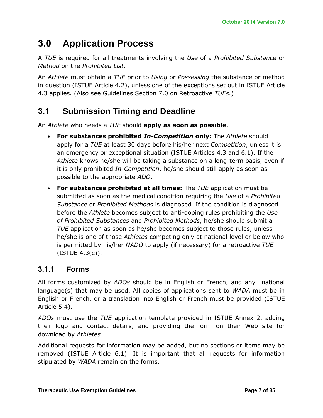# **3.0 Application Process**

A *TUE* is required for all treatments involving the *Use* of a *Prohibited Substance* or *Method* on the *Prohibited List*.

An *Athlete* must obtain a *TUE* prior to *Using* or *Possessing* the substance or method in question (ISTUE Article 4.2), unless one of the exceptions set out in ISTUE Article 4.3 applies. (Also see Guidelines Section 7.0 on Retroactive *TUEs*.)

## **3.1 Submission Timing and Deadline**

An *Athlete* who needs a *TUE* should **apply as soon as possible**.

- **For substances prohibited** *In-Competition* **only:** The *Athlete* should apply for a *TUE* at least 30 days before his/her next *Competition*, unless it is an emergency or exceptional situation (ISTUE Articles 4.3 and 6.1). If the *Athlete* knows he/she will be taking a substance on a long-term basis, even if it is only prohibited *In-Competition*, he/she should still apply as soon as possible to the appropriate *ADO*.
- **For substances prohibited at all times:** The *TUE* application must be submitted as soon as the medical condition requiring the *Use* of a *Prohibited Substance* or *Prohibited Methods* is diagnosed. If the condition is diagnosed before the *Athlete* becomes subject to anti-doping rules prohibiting the *Use of Prohibited Substances* and *Prohibited Methods*, he/she should submit a *TUE* application as soon as he/she becomes subject to those rules, unless he/she is one of those *Athletes* competing only at national level or below who is permitted by his/her *NADO* to apply (if necessary) for a retroactive *TUE* (ISTUE 4.3(c)).

#### **3.1.1 Forms**

All forms customized by *ADOs* should be in English or French, and any national language(s) that may be used. All copies of applications sent to *WADA* must be in English or French, or a translation into English or French must be provided (ISTUE Article 5.4).

*ADOs* must use the *TUE* application template provided in ISTUE Annex 2, adding their logo and contact details, and providing the form on their Web site for download by *Athletes*.

Additional requests for information may be added, but no sections or items may be removed (ISTUE Article 6.1). It is important that all requests for information stipulated by *WADA* remain on the forms.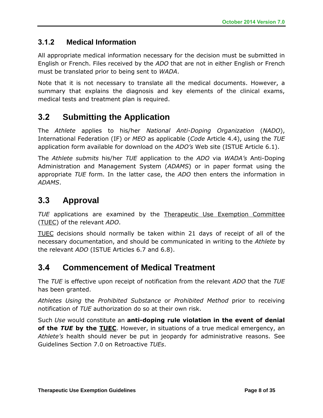#### **3.1.2 Medical Information**

All appropriate medical information necessary for the decision must be submitted in English or French. Files received by the *ADO* that are not in either English or French must be translated prior to being sent to *WADA*.

Note that it is not necessary to translate all the medical documents. However, a summary that explains the diagnosis and key elements of the clinical exams, medical tests and treatment plan is required.

## **3.2 Submitting the Application**

The *Athlete* applies to his/her *National Anti-Doping Organization* (*NADO*), International Federation (IF) or *MEO* as applicable (*Code* Article 4.4), using the *TUE* application form available for download on the *ADO's* Web site (ISTUE Article 6.1).

The *Athlete submits* his/her *TUE* application to the *ADO* via *WADA's* Anti-Doping Administration and Management System (*ADAMS*) or in paper format using the appropriate *TUE* form. In the latter case, the *ADO* then enters the information in *ADAMS*.

#### **3.3 Approval**

*TUE* applications are examined by the Therapeutic Use Exemption Committee (TUEC) of the relevant *ADO*.

TUEC decisions should normally be taken within 21 days of receipt of all of the necessary documentation, and should be communicated in writing to the *Athlete* by the relevant *ADO* (ISTUE Articles 6.7 and 6.8).

#### **3.4 Commencement of Medical Treatment**

The *TUE* is effective upon receipt of notification from the relevant *ADO* that the *TUE* has been granted.

*Athletes Using* the *Prohibited Substance* or *Prohibited Method* prior to receiving notification of *TUE* authorization do so at their own risk.

Such *Use* would constitute an **anti-doping rule violation in the event of denial of the** *TUE* **by the TUEC**. However, in situations of a true medical emergency, an *Athlete's* health should never be put in jeopardy for administrative reasons. See Guidelines Section 7.0 on Retroactive *TUEs*.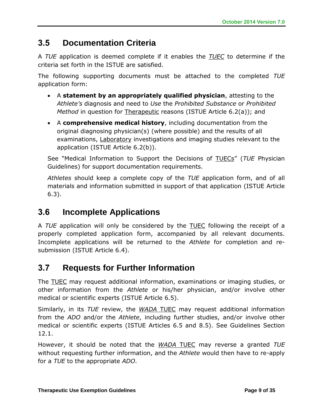## **3.5 Documentation Criteria**

A *TUE* application is deemed complete if it enables the *TUEC* to determine if the criteria set forth in the ISTUE are satisfied.

The following supporting documents must be attached to the completed *TUE*  application form:

- A **statement by an appropriately qualified physician**, attesting to the *Athlete's* diagnosis and need to *Use* the *Prohibited Substance* or *Prohibited Method* in question for **Therapeutic** reasons (ISTUE Article 6.2(a)); and
- A **comprehensive medical history**, including documentation from the original diagnosing physician(s) (where possible) and the results of all examinations, Laboratory investigations and imaging studies relevant to the application (ISTUE Article 6.2(b)).

See "Medical Information to Support the Decisions of TUECs" (*TUE* Physician Guidelines) for support documentation requirements.

*Athletes* should keep a complete copy of the *TUE* application form, and of all materials and information submitted in support of that application (ISTUE Article 6.3).

## **3.6 Incomplete Applications**

A *TUE* application will only be considered by the TUEC following the receipt of a properly completed application form, accompanied by all relevant documents. Incomplete applications will be returned to the *Athlete* for completion and resubmission (ISTUE Article 6.4).

## **3.7 Requests for Further Information**

The TUEC may request additional information, examinations or imaging studies, or other information from the *Athlete* or his/her physician, and/or involve other medical or scientific experts (ISTUE Article 6.5).

Similarly, in its *TUE* review, the *WADA* TUEC may request additional information from the *ADO* and/or the *Athlete*, including further studies, and/or involve other medical or scientific experts (ISTUE Articles 6.5 and 8.5). See Guidelines Section 12.1.

However, it should be noted that the *WADA* TUEC may reverse a granted *TUE* without requesting further information, and the *Athlete* would then have to re-apply for a *TUE* to the appropriate *ADO*.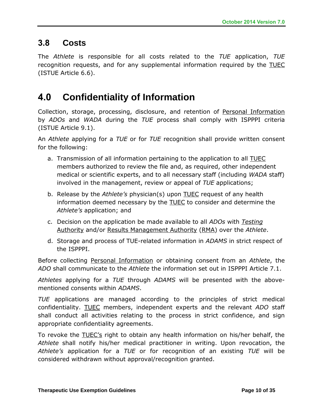#### **3.8 Costs**

The *Athlete* is responsible for all costs related to the *TUE* application, *TUE* recognition requests, and for any supplemental information required by the TUEC (ISTUE Article 6.6).

# **4.0 Confidentiality of Information**

Collection, storage, processing, disclosure, and retention of Personal Information by *ADOs* and *WADA* during the *TUE* process shall comply with ISPPPI criteria (ISTUE Article 9.1).

An *Athlete* applying for a *TUE* or for *TUE* recognition shall provide written consent for the following:

- a. Transmission of all information pertaining to the application to all TUEC members authorized to review the file and, as required, other independent medical or scientific experts, and to all necessary staff (including *WADA* staff) involved in the management, review or appeal of *TUE* applications;
- b. Release by the *Athlete's* physician(s) upon TUEC request of any health information deemed necessary by the **TUEC** to consider and determine the *Athlete's* application; and
- c. Decision on the application be made available to all *ADOs* with *Testing* Authority and/or Results Management Authority (RMA) over the *Athlete*.
- d. Storage and process of TUE-related information in *ADAMS* in strict respect of the ISPPPI.

Before collecting Personal Information or obtaining consent from an *Athlete*, the *ADO* shall communicate to the *Athlete* the information set out in ISPPPI Article 7.1.

*Athletes* applying for a *TUE* through *ADAMS* will be presented with the abovementioned consents within *ADAMS*.

*TUE* applications are managed according to the principles of strict medical confidentiality. TUEC members, independent experts and the relevant *ADO* staff shall conduct all activities relating to the process in strict confidence, and sign appropriate confidentiality agreements.

To revoke the TUEC's right to obtain any health information on his/her behalf, the *Athlete* shall notify his/her medical practitioner in writing. Upon revocation, the *Athlete's* application for a *TUE* or for recognition of an existing *TUE* will be considered withdrawn without approval/recognition granted.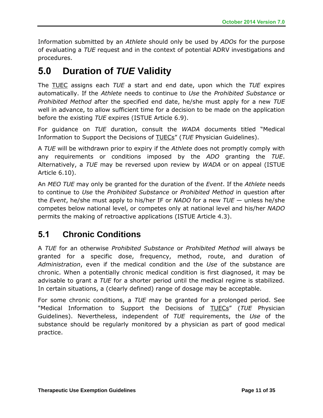Information submitted by an *Athlete* should only be used by *ADOs* for the purpose of evaluating a *TUE* request and in the context of potential ADRV investigations and procedures.

# **5.0 Duration of** *TUE* **Validity**

The TUEC assigns each *TUE* a start and end date, upon which the *TUE* expires automatically. If the *Athlete* needs to continue to *Use* the *Prohibited Substance* or *Prohibited Method* after the specified end date, he/she must apply for a new *TUE* well in advance, to allow sufficient time for a decision to be made on the application before the existing *TUE* expires (ISTUE Article 6.9).

For guidance on *TUE* duration, consult the *WADA* documents titled "Medical Information to Support the Decisions of TUECs" (*TUE* Physician Guidelines).

A *TUE* will be withdrawn prior to expiry if the *Athlete* does not promptly comply with any requirements or conditions imposed by the *ADO* granting the *TUE*. Alternatively, a *TUE* may be reversed upon review by *WADA* or on appeal (ISTUE Article 6.10).

An *MEO TUE* may only be granted for the duration of the *Event*. If the *Athlete* needs to continue to *Use* the *Prohibited Substance* or *Prohibited Method* in question after the *Event*, he/she must apply to his/her IF or *NADO* for a new *TUE* — unless he/she competes below national level, or competes only at national level and his/her *NADO* permits the making of retroactive applications (ISTUE Article 4.3).

## **5.1 Chronic Conditions**

A *TUE* for an otherwise *Prohibited Substance* or *Prohibited Method* will always be granted for a specific dose, frequency, method, route, and duration of *Administration*, even if the medical condition and the *Use* of the substance are chronic. When a potentially chronic medical condition is first diagnosed, it may be advisable to grant a *TUE* for a shorter period until the medical regime is stabilized. In certain situations, a (clearly defined) range of dosage may be acceptable.

For some chronic conditions, a *TUE* may be granted for a prolonged period. See "Medical Information to Support the Decisions of TUECs" (*TUE* Physician Guidelines). Nevertheless, independent of *TUE* requirements, the *Use* of the substance should be regularly monitored by a physician as part of good medical practice.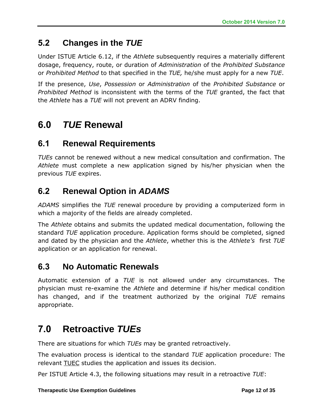## **5.2 Changes in the** *TUE*

Under ISTUE Article 6.12, if the *Athlete* subsequently requires a materially different dosage, frequency, route, or duration of *Administration* of the *Prohibited Substance* or *Prohibited Method* to that specified in the *TUE,* he/she must apply for a new *TUE*.

If the presence, *Use*, *Possession* or *Administration* of the *Prohibited Substance* or *Prohibited Method* is inconsistent with the terms of the *TUE* granted, the fact that the *Athlete* has a *TUE* will not prevent an ADRV finding.

# **6.0** *TUE* **Renewal**

#### **6.1 Renewal Requirements**

*TUEs* cannot be renewed without a new medical consultation and confirmation. The *Athlete* must complete a new application signed by his/her physician when the previous *TUE* expires.

## **6.2 Renewal Option in** *ADAMS*

*ADAMS* simplifies the *TUE* renewal procedure by providing a computerized form in which a majority of the fields are already completed.

The *Athlete* obtains and submits the updated medical documentation, following the standard *TUE* application procedure. Application forms should be completed, signed and dated by the physician and the *Athlete*, whether this is the *Athlete's* first *TUE* application or an application for renewal.

#### **6.3 No Automatic Renewals**

Automatic extension of a *TUE* is not allowed under any circumstances. The physician must re-examine the *Athlete* and determine if his/her medical condition has changed, and if the treatment authorized by the original *TUE* remains appropriate.

# **7.0 Retroactive** *TUEs*

There are situations for which *TUEs* may be granted retroactively.

The evaluation process is identical to the standard *TUE* application procedure: The relevant **TUEC** studies the application and issues its decision.

Per ISTUE Article 4.3, the following situations may result in a retroactive *TUE*: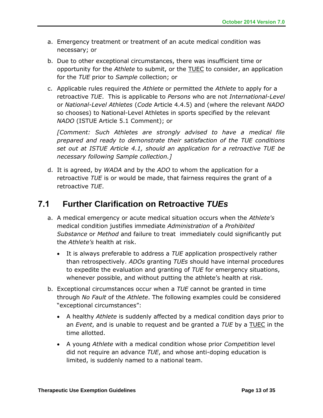- a. Emergency treatment or treatment of an acute medical condition was necessary; or
- b. Due to other exceptional circumstances, there was insufficient time or opportunity for the *Athlete* to submit, or the TUEC to consider, an application for the *TUE* prior to *Sample* collection; or
- c. Applicable rules required the *Athlete* or permitted the *Athlete* to apply for a retroactive *TUE*. This is applicable to *Persons* who are not *International-Level* or *National-Level Athletes* (*Code* Article 4.4.5) and (where the relevant *NADO* so chooses) to National-Level Athletes in sports specified by the relevant *NADO* (ISTUE Article 5.1 Comment); or

*[Comment: Such Athletes are strongly advised to have a medical file prepared and ready to demonstrate their satisfaction of the TUE conditions set out at ISTUE Article 4.1, should an application for a retroactive TUE be necessary following Sample collection.]*

d. It is agreed, by *WADA* and by the *ADO* to whom the application for a retroactive *TUE* is or would be made, that fairness requires the grant of a retroactive *TUE*.

#### **7.1 Further Clarification on Retroactive** *TUEs*

- a. A medical emergency or acute medical situation occurs when the *Athlete's* medical condition justifies immediate *Administration* of a *Prohibited Substance* or *Method* and failure to treat immediately could significantly put the *Athlete's* health at risk.
	- It is always preferable to address a *TUE* application prospectively rather than retrospectively. *ADOs* granting *TUEs* should have internal procedures to expedite the evaluation and granting of *TUE* for emergency situations, whenever possible, and without putting the athlete's health at risk.
- b. Exceptional circumstances occur when a *TUE* cannot be granted in time through *No Fault* of the *Athlete*. The following examples could be considered "exceptional circumstances":
	- A healthy *Athlete* is suddenly affected by a medical condition days prior to an *Event*, and is unable to request and be granted a *TUE* by a TUEC in the time allotted.
	- A young *Athlete* with a medical condition whose prior *Competition* level did not require an advance *TUE*, and whose anti-doping education is limited, is suddenly named to a national team.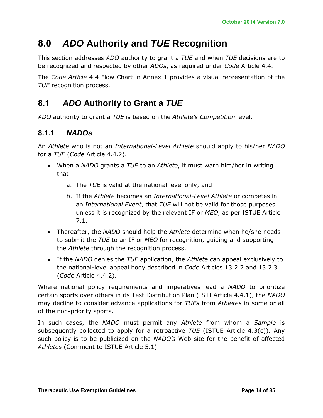# **8.0** *ADO* **Authority and** *TUE* **Recognition**

This section addresses *ADO* authority to grant a *TUE* and when *TUE* decisions are to be recognized and respected by other *ADOs*, as required under *Code* Article 4.4.

The *Code Article* 4.4 Flow Chart in Annex 1 provides a visual representation of the *TUE* recognition process.

#### **8.1** *ADO* **Authority to Grant a** *TUE*

*ADO* authority to grant a *TUE* is based on the *Athlete's Competition* level.

#### **8.1.1** *NADOs*

An *Athlete* who is not an *International-Level Athlete* should apply to his/her *NADO* for a *TUE* (*Code* Article 4.4.2).

- When a *NADO* grants a *TUE* to an *Athlete*, it must warn him/her in writing that:
	- a. The *TUE* is valid at the national level only, and
	- b. If the *Athlete* becomes an *International-Level Athlete* or competes in an *International Event*, that *TUE* will not be valid for those purposes unless it is recognized by the relevant IF or *MEO*, as per ISTUE Article 7.1.
- Thereafter, the *NADO* should help the *Athlete* determine when he/she needs to submit the *TUE* to an IF or *MEO* for recognition, guiding and supporting the *Athlete* through the recognition process.
- If the *NADO* denies the *TUE* application, the *Athlete* can appeal exclusively to the national-level appeal body described in *Code* Articles 13.2.2 and 13.2.3 (*Code* Article 4.4.2).

Where national policy requirements and imperatives lead a *NADO* to prioritize certain sports over others in its Test Distribution Plan (ISTI Article 4.4.1), the *NADO* may decline to consider advance applications for *TUEs* from *Athletes* in some or all of the non-priority sports.

In such cases, the *NADO* must permit any *Athlete* from whom a *Sample* is subsequently collected to apply for a retroactive *TUE* (ISTUE Article 4.3(c)). Any such policy is to be publicized on the *NADO's* Web site for the benefit of affected *Athletes* (Comment to ISTUE Article 5.1).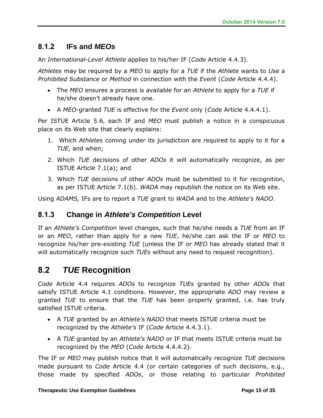#### **8.1.2 IFs and** *MEOs*

An *International-Level Athlete* applies to his/her IF (*Code* Article 4.4.3).

*Athletes* may be required by a *MEO* to apply for a *TUE* if the *Athlete* wants to *Use* a *Prohibited Substance* or *Method* in connection with the *Event* (*Code* Article 4.4.4).

- The *MEO* ensures a process is available for an *Athlete* to apply for a *TUE* if he/she doesn't already have one.
- A *MEO*-granted *TUE* is effective for the *Event* only (*Code* Article 4.4.4.1).

Per ISTUE Article 5.6, each IF and *MEO* must publish a notice in a conspicuous place on its Web site that clearly explains:

- 1. Which *Athletes* coming under its jurisdiction are required to apply to it for a *TUE*, and when;
- 2. Which *TUE* decisions of other *ADOs* it will automatically recognize, as per ISTUE Article 7.1(a); and
- 3. Which *TUE* decisions of other *ADOs* must be submitted to it for recognition, as per ISTUE Article 7.1(b). *WADA* may republish the notice on its Web site.

Using *ADAMS,* IFs are to report a *TUE* grant to *WADA* and to the *Athlete's NADO*.

#### **8.1.3 Change in** *Athlete's Competition* **Level**

If an *Athlete's Competition* level changes, such that he/she needs a *TUE* from an IF or an *MEO*, rather than apply for a new *TUE*, he/she can ask the IF or *MEO* to recognize his/her pre-existing *TUE* (unless the IF or *MEO* has already stated that it will automatically recognize such *TUEs* without any need to request recognition).

#### **8.2** *TUE* **Recognition**

*Code* Article 4.4 requires *ADOs* to recognize *TUEs* granted by other *ADOs* that satisfy ISTUE Article 4.1 conditions. However, the appropriate *ADO* may review a granted *TUE* to ensure that the *TUE* has been properly granted, i.e. has truly satisfied ISTUE criteria.

- A *TUE* granted by an *Athlete's NADO* that meets ISTUE criteria must be recognized by the *Athlete's* IF (*Code* Article 4.4.3.1).
- A *TUE* granted by an *Athlete's NADO* or IF that meets ISTUE criteria must be recognized by the *MEO* (*Code* Article 4.4.4.2).

The IF or *MEO* may publish notice that it will automatically recognize *TUE* decisions made pursuant to *Code* Article 4.4 (or certain categories of such decisions, e.g., those made by specified *ADOs*, or those relating to particular *Prohibited*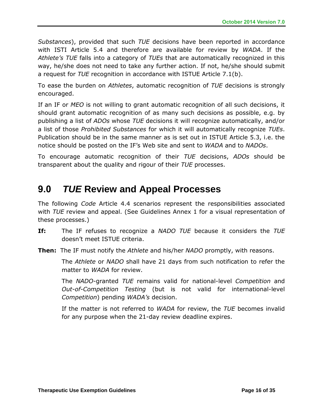*Substances*), provided that such *TUE* decisions have been reported in accordance with ISTI Article 5.4 and therefore are available for review by *WADA*. If the *Athlete's TUE* falls into a category of *TUEs* that are automatically recognized in this way, he/she does not need to take any further action. If not, he/she should submit a request for *TUE* recognition in accordance with ISTUE Article 7.1(b).

To ease the burden on *Athletes*, automatic recognition of *TUE* decisions is strongly encouraged.

If an IF or *MEO* is not willing to grant automatic recognition of all such decisions, it should grant automatic recognition of as many such decisions as possible, e.g. by publishing a list of *ADOs* whose *TUE* decisions it will recognize automatically, and/or a list of those *Prohibited Substances* for which it will automatically recognize *TUEs*. Publication should be in the same manner as is set out in ISTUE Article 5.3, i.e. the notice should be posted on the IF's Web site and sent to *WADA* and to *NADOs*.

To encourage automatic recognition of their *TUE* decisions, *ADOs* should be transparent about the quality and rigour of their *TUE* processes.

# **9.0** *TUE* **Review and Appeal Processes**

The following *Code* Article 4.4 scenarios represent the responsibilities associated with *TUE* review and appeal. (See Guidelines Annex 1 for a visual representation of these processes.)

- **If:** The IF refuses to recognize a *NADO TUE* because it considers the *TUE*  doesn't meet ISTUE criteria.
- **Then:** The IF must notify the *Athlete* and his/her *NADO* promptly, with reasons.

The *Athlete* or *NADO* shall have 21 days from such notification to refer the matter to *WADA* for review.

The *NADO*-granted *TUE* remains valid for national-level *Competition* and *Out-of-Competition Testing* (but is not valid for international-level *Competition*) pending *WADA's* decision.

If the matter is not referred to *WADA* for review, the *TUE* becomes invalid for any purpose when the 21-day review deadline expires.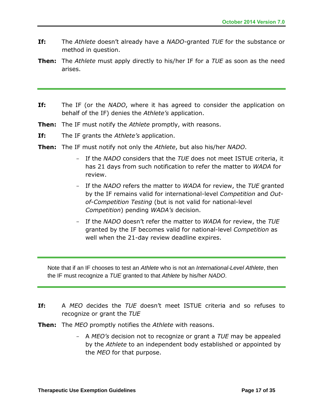- **If:** The *Athlete* doesn't already have a *NADO-*granted *TUE* for the substance or method in question.
- **Then:** The *Athlete* must apply directly to his/her IF for a *TUE* as soon as the need arises.
- **If:** The IF (or the *NADO*, where it has agreed to consider the application on behalf of the IF) denies the *Athlete's* application.
- **Then:** The IF must notify the *Athlete* promptly, with reasons.
- **If:** The IF grants the *Athlete's* application.
- **Then:** The IF must notify not only the *Athlete*, but also his/her *NADO*.
	- If the *NADO* considers that the *TUE* does not meet ISTUE criteria, it has 21 days from such notification to refer the matter to *WADA* for review.
	- If the *NADO* refers the matter to *WADA* for review, the *TUE* granted by the IF remains valid for international-level *Competition* and *Outof-Competition Testing* (but is not valid for national-level *Competition*) pending *WADA's* decision.
	- If the *NADO* doesn't refer the matter to *WADA* for review, the *TUE* granted by the IF becomes valid for national-level *Competition* as well when the 21-day review deadline expires.

Note that if an IF chooses to test an *Athlete* who is not an *International-Level Athlete*, then the IF must recognize a *TUE* granted to that *Athlete* by his/her *NADO*.

- **If:** A *MEO* decides the *TUE* doesn't meet ISTUE criteria and so refuses to recognize or grant the *TUE*
- **Then:** The *MEO* promptly notifies the *Athlete* with reasons.
	- A *MEO's* decision not to recognize or grant a *TUE* may be appealed by the *Athlete* to an independent body established or appointed by the *MEO* for that purpose.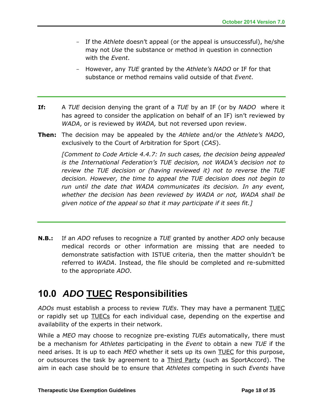- If the *Athlete* doesn't appeal (or the appeal is unsuccessful), he/she may not *Use* the substance or method in question in connection with the *Event*.
- However, any *TUE* granted by the *Athlete's NADO* or IF for that substance or method remains valid outside of that *Event*.
- **If:** A *TUE* decision denying the grant of a *TUE* by an IF (or by *NADO* where it has agreed to consider the application on behalf of an IF) isn't reviewed by *WADA*, or is reviewed by *WADA,* but not reversed upon review.
- **Then:** The decision may be appealed by the *Athlete* and/or the *Athlete's NADO*, exclusively to the Court of Arbitration for Sport (*CAS*).

*[Comment to Code Article 4.4.7: In such cases, the decision being appealed is the International Federation's TUE decision, not WADA's decision not to review the TUE decision or (having reviewed it) not to reverse the TUE decision. However, the time to appeal the TUE decision does not begin to run until the date that WADA communicates its decision. In any event, whether the decision has been reviewed by WADA or not, WADA shall be given notice of the appeal so that it may participate if it sees fit.]*

**N.B.:** If an *ADO* refuses to recognize a *TUE* granted by another *ADO* only because medical records or other information are missing that are needed to demonstrate satisfaction with ISTUE criteria, then the matter shouldn't be referred to *WADA*. Instead, the file should be completed and re-submitted to the appropriate *ADO*.

# **10.0** *ADO* **TUEC Responsibilities**

*ADOs* must establish a process to review *TUEs*. They may have a permanent TUEC or rapidly set up TUECs for each individual case, depending on the expertise and availability of the experts in their network.

While a *MEO* may choose to recognize pre-existing *TUEs* automatically, there must be a mechanism for *Athletes* participating in the *Event* to obtain a new *TUE* if the need arises. It is up to each *MEO* whether it sets up its own TUEC for this purpose, or outsources the task by agreement to a Third Party (such as SportAccord). The aim in each case should be to ensure that *Athletes* competing in such *Events* have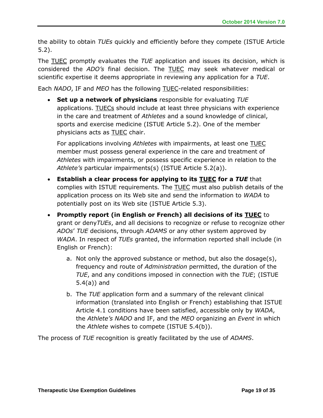the ability to obtain *TUEs* quickly and efficiently before they compete (ISTUE Article 5.2).

The TUEC promptly evaluates the *TUE* application and issues its decision, which is considered the *ADO's* final decision. The TUEC may seek whatever medical or scientific expertise it deems appropriate in reviewing any application for a *TUE*.

Each *NADO*, IF and *MEO* has the following TUEC-related responsibilities:

 **Set up a network of physicians** responsible for evaluating *TUE* applications. TUECs should include at least three physicians with experience in the care and treatment of *Athletes* and a sound knowledge of clinical, sports and exercise medicine (ISTUE Article 5.2). One of the member physicians acts as **TUEC** chair.

For applications involving *Athletes* with impairments, at least one TUEC member must possess general experience in the care and treatment of *Athletes* with impairments, or possess specific experience in relation to the *Athlete's* particular impairments(s) (ISTUE Article 5.2(a)).

- **Establish a clear process for applying to its TUEC for a** *TUE* that complies with ISTUE requirements*.* The TUEC must also publish details of the application process on its Web site and send the information to *WADA* to potentially post on its Web site (ISTUE Article 5.3).
- **Promptly report (in English or French) all decisions of its TUEC** to grant or deny*TUEs*, and all decisions to recognize or refuse to recognize other *ADOs*' *TUE* decisions, through *ADAMS* or any other system approved by *WADA*. In respect of *TUEs* granted, the information reported shall include (in English or French):
	- a. Not only the approved substance or method, but also the dosage(s), frequency and route of *Administration* permitted, the duration of the *TUE*, and any conditions imposed in connection with the *TUE*; (ISTUE 5.4(a)) and
	- b. The *TUE* application form and a summary of the relevant clinical information (translated into English or French) establishing that ISTUE Article 4.1 conditions have been satisfied, accessible only by *WADA*, the *Athlete's NADO* and IF, and the *MEO* organizing an *Event* in which the *Athlete* wishes to compete (ISTUE 5.4(b)).

The process of *TUE* recognition is greatly facilitated by the use of *ADAMS*.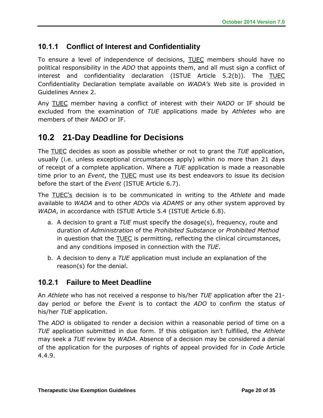#### **10.1.1 Conflict of Interest and Confidentiality**

To ensure a level of independence of decisions, TUEC members should have no political responsibility in the *ADO* that appoints them, and all must sign a conflict of interest and confidentiality declaration (ISTUE Article 5.2(b)). The TUEC Confidentiality Declaration template available on *WADA's* Web site is provided in Guidelines Annex 2.

Any TUEC member having a conflict of interest with their *NADO* or IF should be excluded from the examination of *TUE* applications made by *Athletes* who are members of their *NADO* or IF.

## **10.2 21-Day Deadline for Decisions**

The TUEC decides as soon as possible whether or not to grant the *TUE* application, usually (i.e. unless exceptional circumstances apply) within no more than 21 days of receipt of a complete application. Where a *TUE* application is made a reasonable time prior to an *Event*, the TUEC must use its best endeavors to issue its decision before the start of the *Event* (ISTUE Article 6.7).

The TUEC's decision is to be communicated in writing to the *Athlete* and made available to *WADA* and to other *ADOs* via *ADAMS* or any other system approved by *WADA*, in accordance with ISTUE Article 5.4 (ISTUE Article 6.8).

- a. A decision to grant a *TUE* must specify the dosage(s), frequency, route and duration of *Administration* of the *Prohibited Substance* or *Prohibited Method* in question that the TUEC is permitting, reflecting the clinical circumstances, and any conditions imposed in connection with the *TUE*.
- b. A decision to deny a *TUE* application must include an explanation of the reason(s) for the denial.

#### **10.2.1 Failure to Meet Deadline**

An *Athlete* who has not received a response to his/her *TUE* application after the 21 day period or before the *Event* is to contact the *ADO* to confirm the status of his/her *TUE* application.

The *ADO* is obligated to render a decision within a reasonable period of time on a *TUE* application submitted in due form. If this obligation isn't fulfilled, the *Athlete* may seek a *TUE* review by *WADA*. Absence of a decision may be considered a denial of the application for the purposes of rights of appeal provided for in *Code* Article 4.4.9.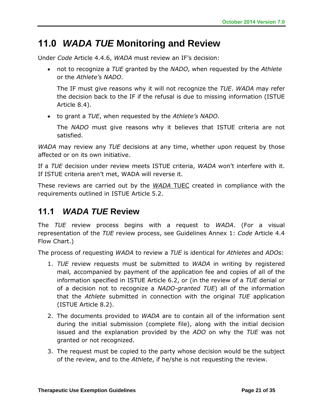# **11.0** *WADA TUE* **Monitoring and Review**

Under *Code* Article 4.4.6, *WADA* must review an IF's decision:

 not to recognize a *TUE* granted by the *NADO*, when requested by the *Athlete* or the *Athlete's NADO*.

The IF must give reasons why it will not recognize the *TUE*. *WADA* may refer the decision back to the IF if the refusal is due to missing information (ISTUE Article 8.4).

to grant a *TUE*, when requested by the *Athlete's NADO*.

The *NADO* must give reasons why it believes that ISTUE criteria are not satisfied.

*WADA* may review any *TUE* decisions at any time, whether upon request by those affected or on its own initiative.

If a *TUE* decision under review meets ISTUE criteria, *WADA* won't interfere with it. If ISTUE criteria aren't met, WADA will reverse it.

These reviews are carried out by the *WADA* TUEC created in compliance with the requirements outlined in ISTUE Article 5.2.

#### **11.1** *WADA TUE* **Review**

The *TUE* review process begins with a request to *WADA*. (For a visual representation of the *TUE* review process, see Guidelines Annex 1: *Code* Article 4.4 Flow Chart.)

The process of requesting *WADA* to review a *TUE* is identical for *Athletes* and *ADOs*:

- 1. *TUE* review requests must be submitted to *WADA* in writing by registered mail*,* accompanied by payment of the application fee and copies of all of the information specified in ISTUE Article 6.2, or (in the review of a *TUE* denial or of a decision not to recognize a *NADO-granted TUE*) all of the information that the *Athlete* submitted in connection with the original *TUE* application (ISTUE Article 8.2).
- 2. The documents provided to *WADA* are to contain all of the information sent during the initial submission (complete file), along with the initial decision issued and the explanation provided by the *ADO* on why the *TUE* was not granted or not recognized.
- 3. The request must be copied to the party whose decision would be the subject of the review, and to the *Athlete*, if he/she is not requesting the review.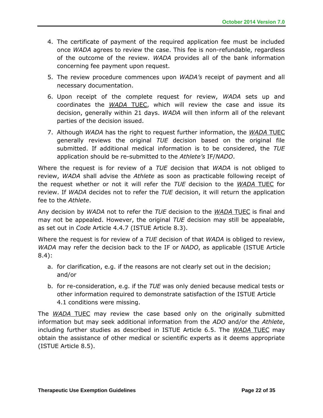- 4. The certificate of payment of the required application fee must be included once *WADA* agrees to review the case. This fee is non-refundable, regardless of the outcome of the review. *WADA* provides all of the bank information concerning fee payment upon request.
- 5. The review procedure commences upon *WADA's* receipt of payment and all necessary documentation.
- 6. Upon receipt of the complete request for review, *WADA* sets up and coordinates the *WADA* TUEC, which will review the case and issue its decision, generally within 21 days. *WADA* will then inform all of the relevant parties of the decision issued.
- 7. Although *WADA* has the right to request further information, the *WADA* TUEC generally reviews the original *TUE* decision based on the original file submitted. If additional medical information is to be considered, the *TUE* application should be re-submitted to the *Athlete's* IF/*NADO*.

Where the request is for review of a *TUE* decision that *WADA* is not obliged to review, *WADA* shall advise the *Athlete* as soon as practicable following receipt of the request whether or not it will refer the *TUE* decision to the *WADA* TUEC for review. If *WADA* decides not to refer the *TUE* decision, it will return the application fee to the *Athlete*.

Any decision by *WADA* not to refer the *TUE* decision to the *WADA* TUEC is final and may not be appealed. However, the original *TUE* decision may still be appealable, as set out in *Code* Article 4.4.7 (ISTUE Article 8.3).

Where the request is for review of a *TUE* decision of that *WADA* is obliged to review, *WADA* may refer the decision back to the IF or *NADO*, as applicable (ISTUE Article 8.4):

- a. for clarification, e.g. if the reasons are not clearly set out in the decision; and/or
- b. for re-consideration, e.g. if the *TUE* was only denied because medical tests or other information required to demonstrate satisfaction of the ISTUE Article 4.1 conditions were missing.

The *WADA* TUEC may review the case based only on the originally submitted information but may seek additional information from the *ADO* and/or the *Athlete*, including further studies as described in ISTUE Article 6.5. The *WADA* TUEC may obtain the assistance of other medical or scientific experts as it deems appropriate (ISTUE Article 8.5).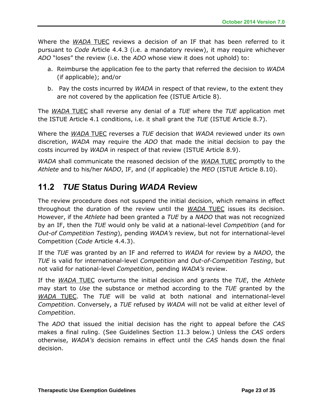Where the *WADA* TUEC reviews a decision of an IF that has been referred to it pursuant to *Code* Article 4.4.3 (i.e. a mandatory review), it may require whichever *ADO* "loses" the review (i.e. the *ADO* whose view it does not uphold) to:

- a. Reimburse the application fee to the party that referred the decision to *WADA* (if applicable); and/or
- b. Pay the costs incurred by *WADA* in respect of that review, to the extent they are not covered by the application fee (ISTUE Article 8).

The *WADA* TUEC shall reverse any denial of a *TUE* where the *TUE* application met the ISTUE Article 4.1 conditions, i.e. it shall grant the *TUE* (ISTUE Article 8.7).

Where the *WADA* TUEC reverses a *TUE* decision that *WADA* reviewed under its own discretion, *WADA* may require the *ADO* that made the initial decision to pay the costs incurred by *WADA* in respect of that review (ISTUE Article 8.9).

*WADA* shall communicate the reasoned decision of the *WADA* TUEC promptly to the *Athlete* and to his/her *NADO*, IF, and (if applicable) the *MEO* (ISTUE Article 8.10).

#### **11.2** *TUE* **Status During** *WADA* **Review**

The review procedure does not suspend the initial decision, which remains in effect throughout the duration of the review until the *WADA* TUEC issues its decision. However, if the *Athlete* had been granted a *TUE* by a *NADO* that was not recognized by an IF, then the *TUE* would only be valid at a national-level *Competition* (and for *Out-of Competition Testing*), pending *WADA's* review, but not for international-level Competition (*Code* Article 4.4.3).

If the *TUE* was granted by an IF and referred to *WADA* for review by a *NADO*, the *TUE* is valid for international-level *Competition* and *Out-of-Competition Testing*, but not valid for national-level *Competition*, pending *WADA's* review.

If the *WADA* TUEC overturns the initial decision and grants the *TUE*, the *Athlete* may start to *Use* the substance or method according to the *TUE* granted by the *WADA* TUEC. The *TUE* will be valid at both national and international-level *Competition*. Conversely, a *TUE* refused by *WADA* will not be valid at either level of *Competition*.

The *ADO* that issued the initial decision has the right to appeal before the *CAS* makes a final ruling. (See Guidelines Section 11.3 below.) Unless the *CAS* orders otherwise, *WADA's* decision remains in effect until the *CAS* hands down the final decision.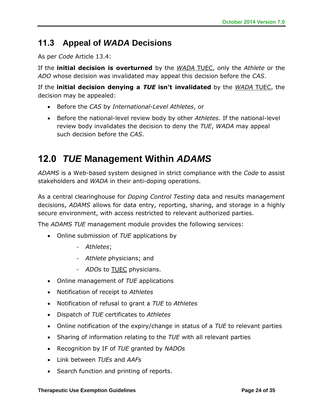## **11.3 Appeal of** *WADA* **Decisions**

As per *Code* Article 13.4:

If the **initial decision is overturned** by the *WADA* TUEC, only the *Athlete* or the *ADO* whose decision was invalidated may appeal this decision before the *CAS*.

If the **initial decision denying a** *TUE* **isn't invalidated** by the *WADA* TUEC, the decision may be appealed:

- Before the *CAS* by *International-Level Athletes*, or
- Before the national-level review body by other *Athletes*. If the national-level review body invalidates the decision to deny the *TUE*, *WADA* may appeal such decision before the *CAS*.

# **12.0** *TUE* **Management Within** *ADAMS*

*ADAMS* is a Web-based system designed in strict compliance with the *Code* to assist stakeholders and *WADA* in their anti-doping operations.

As a central clearinghouse for *Doping Control Testing* data and results management decisions, *ADAMS* allows for data entry, reporting, sharing, and storage in a highly secure environment, with access restricted to relevant authorized parties.

The *ADAMS TUE* management module provides the following services:

- Online submission of *TUE* applications by
	- *Athletes*;
	- *Athlete* physicians; and
	- *ADOs* to TUEC physicians.
- Online management of *TUE* applications
- Notification of receipt to *Athletes*
- Notification of refusal to grant a *TUE* to *Athletes*
- Dispatch of *TUE* certificates to *Athletes*
- Online notification of the expiry/change in status of a *TUE* to relevant parties
- Sharing of information relating to the *TUE* with all relevant parties
- Recognition by IF of *TUE* granted by *NADOs*
- Link between *TUEs* and *AAFs*
- Search function and printing of reports.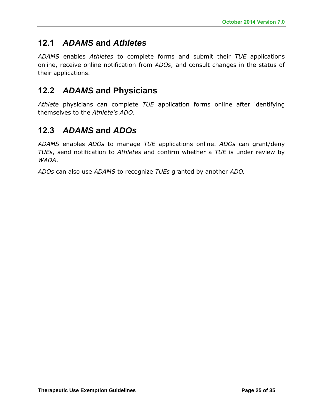## **12.1** *ADAMS* **and** *Athletes*

*ADAMS* enables *Athletes* to complete forms and submit their *TUE* applications online, receive online notification from *ADOs*, and consult changes in the status of their applications.

## **12.2** *ADAMS* **and Physicians**

*Athlete* physicians can complete *TUE* application forms online after identifying themselves to the *Athlete's ADO*.

## **12.3** *ADAMS* **and** *ADOs*

*ADAMS* enables *ADOs* to manage *TUE* applications online. *ADOs* can grant/deny *TUEs*, send notification to *Athletes* and confirm whether a *TUE* is under review by *WADA*.

*ADOs* can also use *ADAMS* to recognize *TUEs* granted by another *ADO.*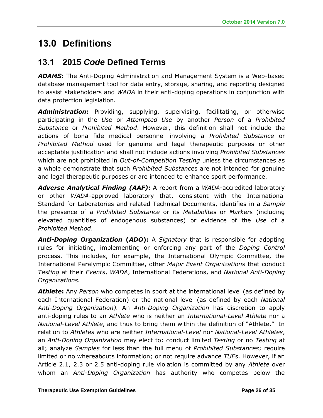# **13.0 Definitions**

#### **13.1 2015** *Code* **Defined Terms**

*ADAMS***:** The Anti-Doping Administration and Management System is a Web-based database management tool for data entry, storage, sharing, and reporting designed to assist stakeholders and *WADA* in their anti-doping operations in conjunction with data protection legislation.

*Administration***:** Providing, supplying, supervising, facilitating, or otherwise participating in the *Use* or *Attempted Use* by another *Person* of a *Prohibited Substance* or *Prohibited Method*. However, this definition shall not include the actions of bona fide medical personnel involving a *Prohibited Substance* or *Prohibited Method* used for genuine and legal therapeutic purposes or other acceptable justification and shall not include actions involving *Prohibited Substances* which are not prohibited in *Out-of-Competition Testing* unless the circumstances as a whole demonstrate that such *Prohibited Substance*s are not intended for genuine and legal therapeutic purposes or are intended to enhance sport performance.

*Adverse Analytical Finding (AAF)***:** A report from a *WADA-*accredited laboratory or other *WADA*-approved laboratory that, consistent with the International Standard for Laboratories and related Technical Documents, identifies in a *Sample*  the presence of a *Prohibited Substance* or its *Metabolite*s or *Marker*s (including elevated quantities of endogenous substances) or evidence of the *Use* of a *Prohibited Method*.

*Anti-Doping Organization* **(***ADO***):** A *Signatory* that is responsible for adopting rules for initiating, implementing or enforcing any part of the *Doping Control* process. This includes, for example, the International Olympic Committee, the International Paralympic Committee, other *Major Event Organizations* that conduct *Testing* at their *Events*, *WADA*, International Federations, and *National Anti-Doping Organizations.*

*Athlete***:** Any *Person* who competes in sport at the international level (as defined by each International Federation) or the national level (as defined by each *National Anti-Doping Organization).* An *Anti-Doping Organization* has discretion to apply anti-doping rules to an *Athlete* who is neither an *International-Level Athlete* nor a *National-Level Athlete*, and thus to bring them within the definition of "Athlete." In relation to *Athletes* who are neither *International-Level* nor *National-Level Athletes*, an *Anti-Doping Organization* may elect to: conduct limited *Testing* or no *Testing* at all; analyze *Samples* for less than the full menu of *Prohibited Substances*; require limited or no whereabouts information; or not require advance *TUEs*. However, if an Article 2.1, 2.3 or 2.5 anti-doping rule violation is committed by any *Athlete* over whom an *Anti-Doping Organization* has authority who competes below the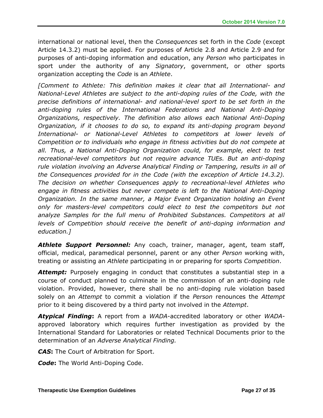international or national level, then the *Consequences* set forth in the *Code* (except Article 14.3.2) must be applied. For purposes of Article 2.8 and Article 2.9 and for purposes of anti-doping information and education, any *Person* who participates in sport under the authority of any *Signatory*, government, or other sports organization accepting the *Code* is an *Athlete*.

*[Comment to Athlete: This definition makes it clear that all International- and National-Level Athletes are subject to the anti-doping rules of the Code, with the precise definitions of international- and national-level sport to be set forth in the anti-doping rules of the International Federations and National Anti-Doping Organizations, respectively. The definition also allows each National Anti-Doping Organization, if it chooses to do so, to expand its anti-doping program beyond International- or National-Level Athletes to competitors at lower levels of Competition or to individuals who engage in fitness activities but do not compete at*  all. Thus, a National Anti-Doping Organization could, for example, elect to test *recreational-level competitors but not require advance TUEs. But an anti-doping rule violation involving an Adverse Analytical Finding or Tampering, results in all of the Consequences provided for in the Code (with the exception of Article 14.3.2). The decision on whether Consequences apply to recreational-level Athletes who engage in fitness activities but never compete is left to the National Anti-Doping Organization. In the same manner, a Major Event Organization holding an Event only for masters-level competitors could elect to test the competitors but not analyze Samples for the full menu of Prohibited Substances. Competitors at all levels of Competition should receive the benefit of anti-doping information and education.]*

*Athlete Support Personnel:* Any coach, trainer, manager, agent, team staff, official, medical, paramedical personnel, parent or any other *Person* working with, treating or assisting an *Athlete* participating in or preparing for sports *Competition*.

*Attempt:* Purposely engaging in conduct that constitutes a substantial step in a course of conduct planned to culminate in the commission of an anti-doping rule violation. Provided, however, there shall be no anti-doping rule violation based solely on an *Attempt* to commit a violation if the *Person* renounces the *Attempt* prior to it being discovered by a third party not involved in the *Attempt*.

*Atypical Finding***:** A report from a *WADA*-accredited laboratory or other *WADA*approved laboratory which requires further investigation as provided by the International Standard for Laboratories or related Technical Documents prior to the determination of an *Adverse Analytical Finding.*

*CAS***:** The Court of Arbitration for Sport.

*Code***:** The World Anti-Doping Code.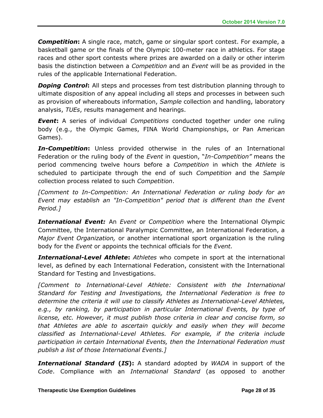*Competition***:** A single race, match, game or singular sport contest. For example, a basketball game or the finals of the Olympic 100-meter race in athletics. For stage races and other sport contests where prizes are awarded on a daily or other interim basis the distinction between a *Competition* and an *Event* will be as provided in the rules of the applicable International Federation.

**Doping Control:** All steps and processes from test distribution planning through to ultimate disposition of any appeal including all steps and processes in between such as provision of whereabouts information, *Sample* collection and handling, laboratory analysis, *TUEs*, results management and hearings.

*Event***:** A series of individual *Competitions* conducted together under one ruling body (e.g., the Olympic Games, FINA World Championships, or Pan American Games).

*In-Competition***:** Unless provided otherwise in the rules of an International Federation or the ruling body of the *Event* in question, "*In-Competition"* means the period commencing twelve hours before a *Competition* in which the *Athlete* is scheduled to participate through the end of such *Competition* and the *Sample* collection process related to such *Competition*.

*[Comment to In-Competition: An International Federation or ruling body for an Event may establish an "In-Competition" period that is different than the Event Period.]*

*International Event:* An *Event* or *Competition* where the International Olympic Committee, the International Paralympic Committee, an International Federation, a *Major Event Organization,* or another international sport organization is the ruling body for the *Event* or appoints the technical officials for the *Event.*

*International-Level Athlete***:** *Athletes* who compete in sport at the international level, as defined by each International Federation, consistent with the International Standard for Testing and Investigations.

*[Comment to International-Level Athlete: Consistent with the International Standard for Testing and Investigations, the International Federation is free to determine the criteria it will use to classify Athletes as International-Level Athletes, e.g., by ranking, by participation in particular International Events, by type of license, etc. However, it must publish those criteria in clear and concise form, so that Athletes are able to ascertain quickly and easily when they will become classified as International-Level Athletes. For example, if the criteria include participation in certain International Events, then the International Federation must publish a list of those International Events.]*

*International Standard* **(***IS***):** A standard adopted by *WADA* in support of the *Code*. Compliance with an *International Standard* (as opposed to another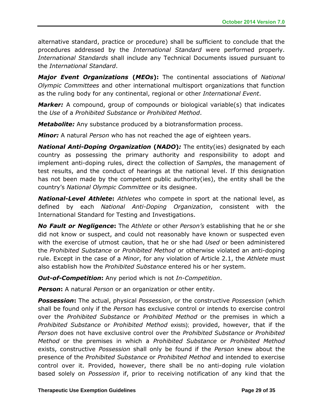alternative standard, practice or procedure) shall be sufficient to conclude that the procedures addressed by the *International Standard* were performed properly. *International Standards* shall include any Technical Documents issued pursuant to the *International Standard*.

*Major Event Organizations* **(***MEOs***):** The continental associations of *National Olympic Committees* and other international multisport organizations that function as the ruling body for any continental, regional or other *International Event*.

*Marker:* A compound, group of compounds or biological variable(s) that indicates the *Use* of a *Prohibited Substance* or *Prohibited Method*.

*Metabolite:* Any substance produced by a biotransformation process.

*Minor:* A natural *Person* who has not reached the age of eighteen years.

*National Anti-Doping Organization* **(***NADO***)***:* The entity(ies) designated by each country as possessing the primary authority and responsibility to adopt and implement anti-doping rules, direct the collection of *Sample*s, the management of test results, and the conduct of hearings at the national level. If this designation has not been made by the competent public authority(ies), the entity shall be the country's *National Olympic Committee* or its designee.

*National-Level Athlete***:** *Athletes* who compete in sport at the national level, as defined by each *National Anti-Doping Organization*, consistent with the International Standard for Testing and Investigations.

*No Fault or Negligence***:** The *Athlete* or other *Person's* establishing that he or she did not know or suspect, and could not reasonably have known or suspected even with the exercise of utmost caution, that he or she had *Used* or been administered the *Prohibited Substance* or *Prohibited Method* or otherwise violated an anti-doping rule. Except in the case of a *Minor*, for any violation of Article 2.1, the *Athlete* must also establish how the *Prohibited Substance* entered his or her system.

*Out-of-Competition***:** Any period which is not *In-Competition*.

*Person***:** A natural *Person* or an organization or other entity.

*Possession***:** The actual, physical *Possession*, or the constructive *Possession* (which shall be found only if the *Person* has exclusive control or intends to exercise control over the *Prohibited Substance* or *Prohibited Method* or the premises in which a *Prohibited Substance* or *Prohibited Method* exists); provided, however, that if the *Person* does not have exclusive control over the *Prohibited Substance* or *Prohibited Method* or the premises in which a *Prohibited Substance* or *Prohibited Method* exists, constructive *Possession* shall only be found if the *Person* knew about the presence of the *Prohibited Substance* or *Prohibited Method* and intended to exercise control over it. Provided, however, there shall be no anti-doping rule violation based solely on *Possession* if, prior to receiving notification of any kind that the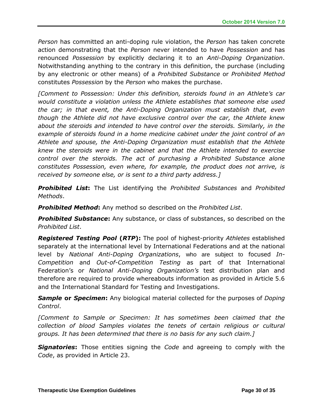*Person* has committed an anti-doping rule violation, the *Person* has taken concrete action demonstrating that the *Person* never intended to have *Possession* and has renounced *Possession* by explicitly declaring it to an *Anti-Doping Organization*. Notwithstanding anything to the contrary in this definition, the purchase (including by any electronic or other means) of a *Prohibited Substance* or *Prohibited Method* constitutes *Possession* by the *Person* who makes the purchase.

*[Comment to Possession: Under this definition, steroids found in an Athlete's car would constitute a violation unless the Athlete establishes that someone else used the car; in that event, the Anti-Doping Organization must establish that, even though the Athlete did not have exclusive control over the car, the Athlete knew about the steroids and intended to have control over the steroids. Similarly, in the example of steroids found in a home medicine cabinet under the joint control of an Athlete and spouse, the Anti-Doping Organization must establish that the Athlete knew the steroids were in the cabinet and that the Athlete intended to exercise control over the steroids. The act of purchasing a Prohibited Substance alone constitutes Possession, even where, for example, the product does not arrive, is received by someone else, or is sent to a third party address.]*

*Prohibited List***:** The List identifying the *Prohibited Substances* and *Prohibited Methods*.

*Prohibited Method***:** Any method so described on the *Prohibited List*.

*Prohibited Substance***:** Any substance, or class of substances, so described on the *Prohibited List*.

*Registered Testing Pool* **(***RTP***):** The pool of highest-priority *Athletes* established separately at the international level by International Federations and at the national level by *National Anti-Doping Organizations*, who are subject to focused *In-Competition* and *Out-of-Competition Testing* as part of that International Federation's or *National Anti-Doping Organization's* test distribution plan and therefore are required to provide whereabouts information as provided in Article 5.6 and the International Standard for Testing and Investigations.

*Sample* **or** *Specimen***:** Any biological material collected for the purposes of *Doping Control*.

*[Comment to Sample or Specimen: It has sometimes been claimed that the collection of blood Samples violates the tenets of certain religious or cultural groups. It has been determined that there is no basis for any such claim.]*

*Signatories***:** Those entities signing the *Code* and agreeing to comply with the *Code*, as provided in Article 23.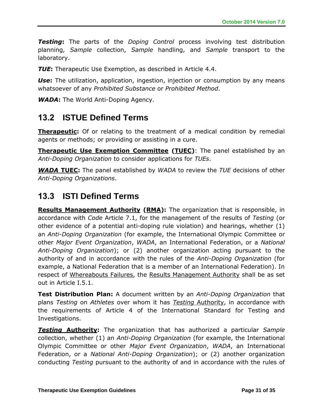*Testing***:** The parts of the *Doping Control* process involving test distribution planning, *Sample* collection, *Sample* handling, and *Sample* transport to the laboratory.

*TUE***:** Therapeutic Use Exemption, as described in Article 4.4.

*Use***:** The utilization, application, ingestion, injection or consumption by any means whatsoever of any *Prohibited Substance* or *Prohibited Method*.

*WADA***:** The World Anti-Doping Agency.

#### **13.2 ISTUE Defined Terms**

**Therapeutic:** Of or relating to the treatment of a medical condition by remedial agents or methods; or providing or assisting in a cure.

**Therapeutic Use Exemption Committee (TUEC):** The panel established by an *Anti-Doping Organization* to consider applications for *TUEs*.

*WADA* **TUEC:** The panel established by *WADA* to review the *TUE* decisions of other *Anti-Doping Organizations*.

#### **13.3 ISTI Defined Terms**

**Results Management Authority (RMA):** The organization that is responsible, in accordance with *Code* Article 7.1, for the management of the results of *Testing* (or other evidence of a potential anti-doping rule violation) and hearings, whether (1) an *Anti-Doping Organization* (for example, the International Olympic Committee or other *Major Event Organization*, *WADA*, an International Federation, or a *National Anti-Doping Organization*); or (2) another organization acting pursuant to the authority of and in accordance with the rules of the *Anti-Doping Organization* (for example, a National Federation that is a member of an International Federation). In respect of Whereabouts Failures, the Results Management Authority shall be as set out in Article I.5.1.

**Test Distribution Plan:** A document written by an *Anti-Doping Organization* that plans *Testing* on *Athletes* over whom it has *Testing* Authority, in accordance with the requirements of Article 4 of the International Standard for Testing and Investigations.

*Testing* **Authority:** The organization that has authorized a particular *Sample* collection, whether (1) an *Anti-Doping Organization* (for example, the International Olympic Committee or other *Major Event Organization*, *WADA*, an International Federation, or a *National Anti-Doping Organization*); or (2) another organization conducting *Testing* pursuant to the authority of and in accordance with the rules of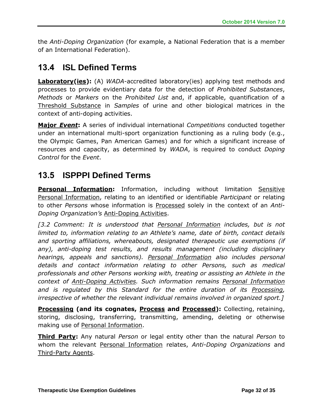the *Anti-Doping Organization* (for example, a National Federation that is a member of an International Federation).

#### **13.4 ISL Defined Terms**

**Laboratory(ies):** (A) *WADA*-accredited laboratory(ies) applying test methods and processes to provide evidentiary data for the detection of *Prohibited Substances*, *Methods* or *Markers* on the *Prohibited List* and, if applicable, quantification of a Threshold Substance in *Samples* of urine and other biological matrices in the context of anti-doping activities.

**Major** *Event***:** A series of individual international *Competitions* conducted together under an international multi-sport organization functioning as a ruling body (e.g., the Olympic Games, Pan American Games) and for which a significant increase of resources and capacity, as determined by *WADA*, is required to conduct *Doping Control* for the *Event*.

#### **13.5 ISPPPI Defined Terms**

**Personal Information:** Information, including without limitation Sensitive Personal Information, relating to an identified or identifiable *Participant* or relating to other *Persons* whose information is Processed solely in the context of an *Anti-Doping Organization's* Anti-Doping Activities.

*[3.2 Comment: It is understood that Personal Information includes, but is not limited to, information relating to an Athlete's name, date of birth, contact details and sporting affiliations, whereabouts, designated therapeutic use exemptions (if any), anti-doping test results, and results management (including disciplinary hearings, appeals and sanctions). Personal Information also includes personal details and contact information relating to other Persons, such as medical professionals and other Persons working with, treating or assisting an Athlete in the context of Anti-Doping Activities. Such information remains Personal Information and is regulated by this Standard for the entire duration of its Processing, irrespective of whether the relevant individual remains involved in organized sport.]*

**Processing (and its cognates, Process and Processed):** Collecting, retaining, storing, disclosing, transferring, transmitting, amending, deleting or otherwise making use of Personal Information.

**Third Party:** Any natural *Person* or legal entity other than the natural *Person* to whom the relevant Personal Information relates, *Anti-Doping Organizations* and Third-Party Agents.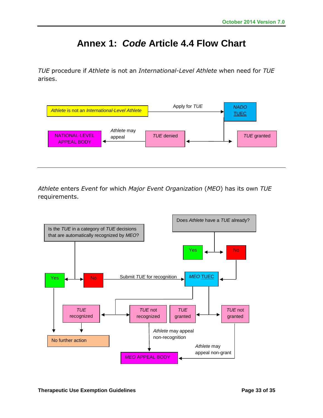# **Annex 1:** *Code* **Article 4.4 Flow Chart**

*TUE* procedure if *Athlete* is not an *International-Level Athlete* when need for *TUE* arises.



*Athlete* enters *Event* for which *Major Event Organization* (*MEO*) has its own *TUE* requirements.

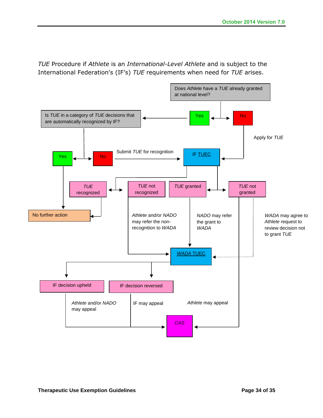*TUE* Procedure if *Athlete* is an *International-Level Athlete* and is subject to the International Federation's (IF's) *TUE* requirements when need for *TUE* arises.